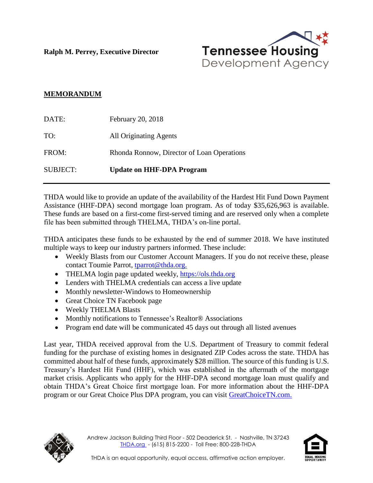**Ralph M. Perrey, Executive Director**



## **MEMORANDUM**

| <b>SUBJECT:</b> | <b>Update on HHF-DPA Program</b>           |
|-----------------|--------------------------------------------|
| FROM:           | Rhonda Ronnow, Director of Loan Operations |
| TO:             | All Originating Agents                     |
| DATE:           | February 20, 2018                          |

THDA would like to provide an update of the availability of the Hardest Hit Fund Down Payment Assistance (HHF-DPA) second mortgage loan program. As of today \$35,626,963 is available. These funds are based on a first-come first-served timing and are reserved only when a complete file has been submitted through THELMA, THDA's on-line portal.

THDA anticipates these funds to be exhausted by the end of summer 2018. We have instituted multiple ways to keep our industry partners informed. These include:

- Weekly Blasts from our Customer Account Managers. If you do not receive these, please contact Toumie Parrot, [tparrot@thda.org.](mailto:tparrot@thda.org)
- THELMA login page updated weekly, [https://ols.thda.org](https://ols.thda.org/)
- Lenders with THELMA credentials can access a live update
- Monthly newsletter-Windows to Homeownership
- Great Choice TN Facebook page
- Weekly THELMA Blasts
- Monthly notifications to Tennessee's Realtor® Associations
- Program end date will be communicated 45 days out through all listed avenues

Last year, THDA received approval from the U.S. Department of Treasury to commit federal funding for the purchase of existing homes in designated ZIP Codes across the state. THDA has committed about half of these funds, approximately \$28 million. The source of this funding is U.S. Treasury's Hardest Hit Fund (HHF), which was established in the aftermath of the mortgage market crisis. Applicants who apply for the HHF-DPA second mortgage loan must qualify and obtain THDA's Great Choice first mortgage loan. For more information about the HHF-DPA program or our Great Choice Plus DPA program, you can visit [GreatChoiceTN.com.](http://www.greatchoicetn.com/)